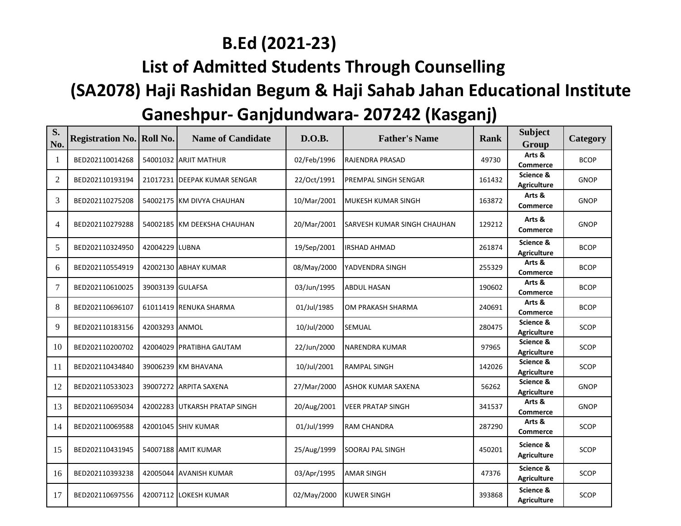## **B.Ed (2021-23)**

## **List of Admitted Students Through Counselling**

## **(SA2078) Haji Rashidan Begum & Haji Sahab Jahan Educational Institute Ganeshpur- Ganjdundwara- 207242 (Kasganj)**

| S.<br>No.      | <b>Registration No. Roll No.</b> |                  | <b>Name of Candidate</b>      | D.O.B.      | <b>Father's Name</b>        | <b>Rank</b> | <b>Subject</b><br>Group         | Category    |
|----------------|----------------------------------|------------------|-------------------------------|-------------|-----------------------------|-------------|---------------------------------|-------------|
| -1             | BED202110014268                  |                  | 54001032 ARJIT MATHUR         | 02/Feb/1996 | RAJENDRA PRASAD             | 49730       | Arts &<br><b>Commerce</b>       | <b>BCOP</b> |
| 2              | BED202110193194                  |                  | 21017231 DEEPAK KUMAR SENGAR  | 22/Oct/1991 | PREMPAL SINGH SENGAR        | 161432      | Science &<br><b>Agriculture</b> | <b>GNOP</b> |
| 3              | BED202110275208                  |                  | 54002175 KM DIVYA CHAUHAN     | 10/Mar/2001 | <b>MUKESH KUMAR SINGH</b>   | 163872      | Arts &<br><b>Commerce</b>       | <b>GNOP</b> |
| $\overline{4}$ | BED202110279288                  |                  | 54002185 KM DEEKSHA CHAUHAN   | 20/Mar/2001 | SARVESH KUMAR SINGH CHAUHAN | 129212      | Arts &<br><b>Commerce</b>       | <b>GNOP</b> |
| 5              | BED202110324950                  | 42004229 LUBNA   |                               | 19/Sep/2001 | <b>IRSHAD AHMAD</b>         | 261874      | Science &<br><b>Agriculture</b> | <b>BCOP</b> |
| 6              | BED202110554919                  |                  | 42002130 ABHAY KUMAR          | 08/May/2000 | YADVENDRA SINGH             | 255329      | Arts &<br><b>Commerce</b>       | <b>BCOP</b> |
| $\overline{7}$ | BED202110610025                  | 39003139 GULAFSA |                               | 03/Jun/1995 | <b>ABDUL HASAN</b>          | 190602      | Arts &<br><b>Commerce</b>       | <b>BCOP</b> |
| 8              | BED202110696107                  |                  | 61011419 RENUKA SHARMA        | 01/Jul/1985 | OM PRAKASH SHARMA           | 240691      | Arts &<br><b>Commerce</b>       | <b>BCOP</b> |
| 9              | BED202110183156                  | 42003293 ANMOL   |                               | 10/Jul/2000 | <b>SEMUAL</b>               | 280475      | Science &<br><b>Agriculture</b> | <b>SCOP</b> |
| 10             | BED202110200702                  |                  | 42004029 PRATIBHA GAUTAM      | 22/Jun/2000 | NARENDRA KUMAR              | 97965       | Science &<br><b>Agriculture</b> | SCOP        |
| 11             | BED202110434840                  |                  | 39006239 KM BHAVANA           | 10/Jul/2001 | <b>RAMPAL SINGH</b>         | 142026      | Science &<br><b>Agriculture</b> | <b>SCOP</b> |
| 12             | BED202110533023                  |                  | 39007272 ARPITA SAXENA        | 27/Mar/2000 | ASHOK KUMAR SAXENA          | 56262       | Science &<br><b>Agriculture</b> | <b>GNOP</b> |
| 13             | BED202110695034                  |                  | 42002283 UTKARSH PRATAP SINGH | 20/Aug/2001 | <b>VEER PRATAP SINGH</b>    | 341537      | Arts &<br><b>Commerce</b>       | <b>GNOP</b> |
| 14             | BED202110069588                  |                  | 42001045 SHIV KUMAR           | 01/Jul/1999 | <b>RAM CHANDRA</b>          | 287290      | Arts &<br><b>Commerce</b>       | SCOP        |
| 15             | BED202110431945                  |                  | 54007188 AMIT KUMAR           | 25/Aug/1999 | SOORAJ PAL SINGH            | 450201      | Science &<br><b>Agriculture</b> | <b>SCOP</b> |
| 16             | BED202110393238                  |                  | 42005044 AVANISH KUMAR        | 03/Apr/1995 | <b>AMAR SINGH</b>           | 47376       | Science &<br><b>Agriculture</b> | <b>SCOP</b> |
| 17             | BED202110697556                  |                  | 42007112 LOKESH KUMAR         | 02/May/2000 | KUWER SINGH                 | 393868      | Science &<br><b>Agriculture</b> | <b>SCOP</b> |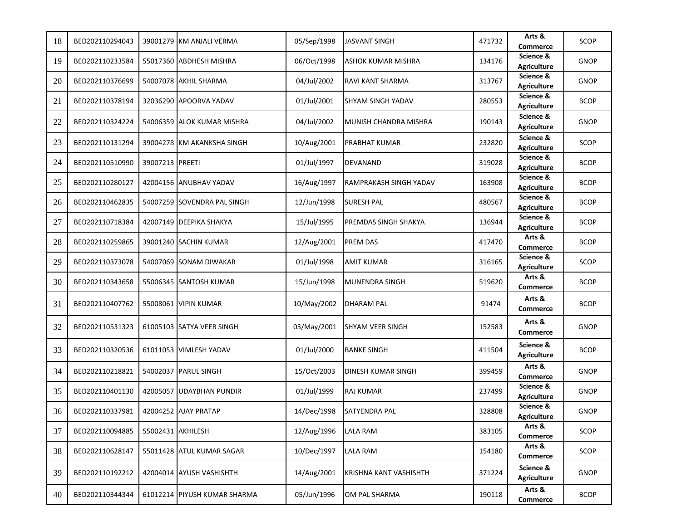| 18 | BED202110294043 |                   | 39001279 KM ANJALI VERMA     | 05/Sep/1998 | JASVANT SINGH             | 471732 | Arts &<br>Commerce              | <b>SCOP</b> |
|----|-----------------|-------------------|------------------------------|-------------|---------------------------|--------|---------------------------------|-------------|
| 19 | BED202110233584 |                   | 55017360 ABDHESH MISHRA      | 06/Oct/1998 | <b>ASHOK KUMAR MISHRA</b> | 134176 | Science &<br><b>Agriculture</b> | <b>GNOP</b> |
| 20 | BED202110376699 |                   | 54007078 AKHIL SHARMA        | 04/Jul/2002 | <b>RAVI KANT SHARMA</b>   | 313767 | Science &<br><b>Agriculture</b> | <b>GNOP</b> |
| 21 | BED202110378194 |                   | 32036290 APOORVA YADAV       | 01/Jul/2001 | <b>SHYAM SINGH YADAV</b>  | 280553 | Science &<br><b>Agriculture</b> | <b>BCOP</b> |
| 22 | BED202110324224 |                   | 54006359 ALOK KUMAR MISHRA   | 04/Jul/2002 | MUNISH CHANDRA MISHRA     | 190143 | Science &<br><b>Agriculture</b> | <b>GNOP</b> |
| 23 | BED202110131294 |                   | 39004278 KM AKANKSHA SINGH   | 10/Aug/2001 | <b>PRABHAT KUMAR</b>      | 232820 | Science &<br><b>Agriculture</b> | SCOP        |
| 24 | BED202110510990 | 39007213 PREETI   |                              | 01/Jul/1997 | <b>DEVANAND</b>           | 319028 | Science &<br><b>Agriculture</b> | <b>BCOP</b> |
| 25 | BED202110280127 |                   | 42004156 ANUBHAV YADAV       | 16/Aug/1997 | RAMPRAKASH SINGH YADAV    | 163908 | Science &<br><b>Agriculture</b> | <b>BCOP</b> |
| 26 | BED202110462835 |                   | 54007259 SOVENDRA PAL SINGH  | 12/Jun/1998 | <b>SURESH PAL</b>         | 480567 | Science &<br><b>Agriculture</b> | <b>BCOP</b> |
| 27 | BED202110718384 |                   | 42007149 DEEPIKA SHAKYA      | 15/Jul/1995 | PREMDAS SINGH SHAKYA      | 136944 | Science &<br><b>Agriculture</b> | <b>BCOP</b> |
| 28 | BED202110259865 |                   | 39001240 SACHIN KUMAR        | 12/Aug/2001 | <b>PREM DAS</b>           | 417470 | Arts &<br><b>Commerce</b>       | <b>BCOP</b> |
| 29 | BED202110373078 |                   | 54007069 SONAM DIWAKAR       | 01/Jul/1998 | <b>AMIT KUMAR</b>         | 316165 | Science &<br><b>Agriculture</b> | SCOP        |
| 30 | BED202110343658 |                   | 55006345 SANTOSH KUMAR       | 15/Jun/1998 | MUNENDRA SINGH            | 519620 | Arts &<br>Commerce              | <b>BCOP</b> |
| 31 | BED202110407762 |                   | 55008061 VIPIN KUMAR         | 10/May/2002 | <b>DHARAM PAL</b>         | 91474  | Arts &<br><b>Commerce</b>       | <b>BCOP</b> |
| 32 | BED202110531323 |                   | 61005103 SATYA VEER SINGH    | 03/May/2001 | SHYAM VEER SINGH          | 152583 | Arts &<br>Commerce              | <b>GNOP</b> |
| 33 | BED202110320536 |                   | 61011053 VIMLESH YADAV       | 01/Jul/2000 | <b>BANKE SINGH</b>        | 411504 | Science &<br><b>Agriculture</b> | <b>BCOP</b> |
| 34 | BED202110218821 |                   | 54002037 PARUL SINGH         | 15/Oct/2003 | DINESH KUMAR SINGH        | 399459 | Arts &<br>Commerce              | <b>GNOP</b> |
| 35 | BED202110401130 |                   | 42005057 UDAYBHAN PUNDIR     | 01/Jul/1999 | <b>RAJ KUMAR</b>          | 237499 | Science &<br><b>Agriculture</b> | <b>GNOP</b> |
| 36 | BED202110337981 |                   | 42004252 AJAY PRATAP         | 14/Dec/1998 | <b>SATYENDRA PAL</b>      | 328808 | Science &<br><b>Agriculture</b> | <b>GNOP</b> |
| 37 | BED202110094885 | 55002431 AKHILESH |                              | 12/Aug/1996 | LALA RAM                  | 383105 | Arts &<br>Commerce              | SCOP        |
| 38 | BED202110628147 |                   | 55011428 ATUL KUMAR SAGAR    | 10/Dec/1997 | <b>LALA RAM</b>           | 154180 | Arts &<br><b>Commerce</b>       | SCOP        |
| 39 | BED202110192212 |                   | 42004014 AYUSH VASHISHTH     | 14/Aug/2001 | KRISHNA KANT VASHISHTH    | 371224 | Science &<br><b>Agriculture</b> | <b>GNOP</b> |
| 40 | BED202110344344 |                   | 61012214 PIYUSH KUMAR SHARMA | 05/Jun/1996 | OM PAL SHARMA             | 190118 | Arts &<br>Commerce              | <b>BCOP</b> |